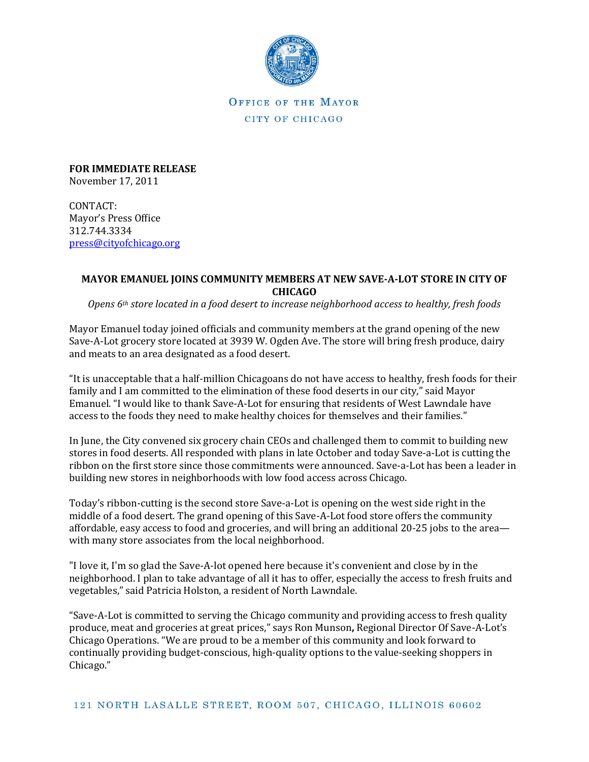

OFFICE OF THE MAYOR CITY OF CHICAGO

**FOR IMMEDIATE RELEASE** November 17, 2011

CONTACT: Mayor's Press Office 312.744.3334 [press@cityofchicago.org](mailto:press@cityofchicago.org)

## **MAYOR EMANUEL JOINS COMMUNITY MEMBERS AT NEW SAVE-A-LOT STORE IN CITY OF CHICAGO**

*Opens 6th store located in a food desert to increase neighborhood access to healthy, fresh foods*

Mayor Emanuel today joined officials and community members at the grand opening of the new Save-A-Lot grocery store located at 3939 W. Ogden Ave. The store will bring fresh produce, dairy and meats to an area designated as a food desert.

"It is unacceptable that a half-million Chicagoans do not have access to healthy, fresh foods for their family and I am committed to the elimination of these food deserts in our city," said Mayor Emanuel. "I would like to thank Save-A-Lot for ensuring that residents of West Lawndale have access to the foods they need to make healthy choices for themselves and their families."

In June, the City convened six grocery chain CEOs and challenged them to commit to building new stores in food deserts. All responded with plans in late October and today Save-a-Lot is cutting the ribbon on the first store since those commitments were announced. Save-a-Lot has been a leader in building new stores in neighborhoods with low food access across Chicago.

Today's ribbon-cutting is the second store Save-a-Lot is opening on the west side right in the middle of a food desert. The grand opening of this Save-A-Lot food store offers the community affordable, easy access to food and groceries, and will bring an additional 20-25 jobs to the area with many store associates from the local neighborhood.

"I love it, I'm so glad the Save-A-lot opened here because it's convenient and close by in the neighborhood. I plan to take advantage of all it has to offer, especially the access to fresh fruits and vegetables," said Patricia Holston, a resident of North Lawndale.

"Save-A-Lot is committed to serving the Chicago community and providing access to fresh quality produce, meat and groceries at great prices," says Ron Munson**,** Regional Director Of Save-A-Lot's Chicago Operations. "We are proud to be a member of this community and look forward to continually providing budget-conscious, high-quality options to the value-seeking shoppers in Chicago."